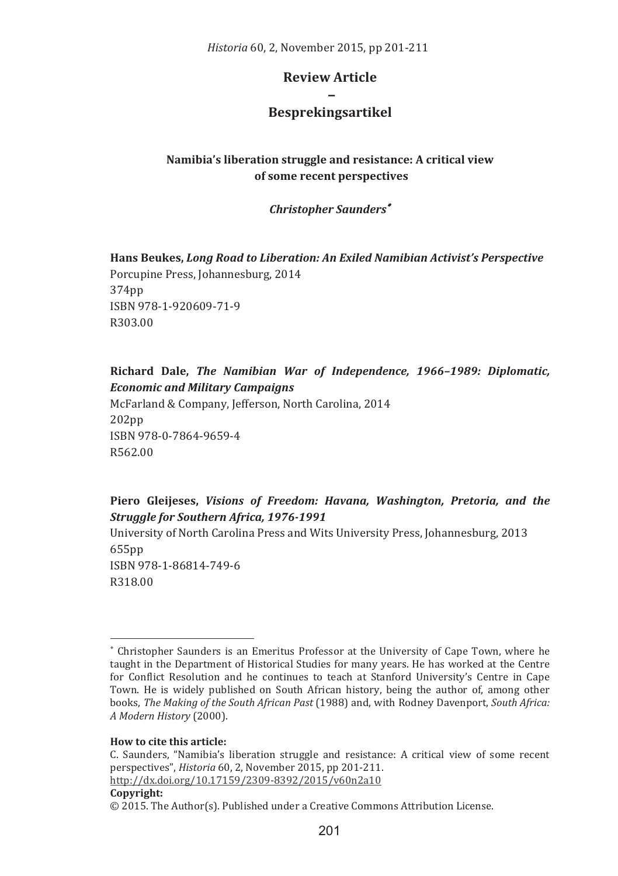# **Review Article**

### **Besprekingsartikel**

Namibia's liberation struggle and resistance: A critical view of some recent perspectives

**Christopher Saunders\*** 

Hans Beukes, Long Road to Liberation: An Exiled Namibian Activist's Perspective Porcupine Press, Johannesburg, 2014 374pp ISBN 978-1-920609-71-9 R303.00

# Richard Dale, The Namibian War of Independence, 1966-1989: Diplomatic, **Economic and Military Campaians**

McFarland & Company, Jefferson, North Carolina, 2014  $202pp$ ISBN 978-0-7864-9659-4 R562.00

Piero Gleijeses, Visions of Freedom: Havana, Washington, Pretoria, and the **Struggle for Southern Africa, 1976-1991** 

University of North Carolina Press and Wits University Press, Johannesburg, 2013 655pp ISBN 978-1-86814-749-6 R318.00

#### How to cite this article:

C. Saunders, "Namibia's liberation struggle and resistance: A critical view of some recent perspectives", Historia 60, 2, November 2015, pp 201-211. http://dx.doi.org/10.17159/2309-8392/2015/v60n2a10

Copyright:

<sup>\*</sup> Christopher Saunders is an Emeritus Professor at the University of Cape Town, where he taught in the Department of Historical Studies for many years. He has worked at the Centre for Conflict Resolution and he continues to teach at Stanford University's Centre in Cape Town. He is widely published on South African history, being the author of, among other books, The Making of the South African Past (1988) and, with Rodney Davenport, South Africa: A Modern History (2000).

<sup>© 2015.</sup> The Author(s). Published under a Creative Commons Attribution License.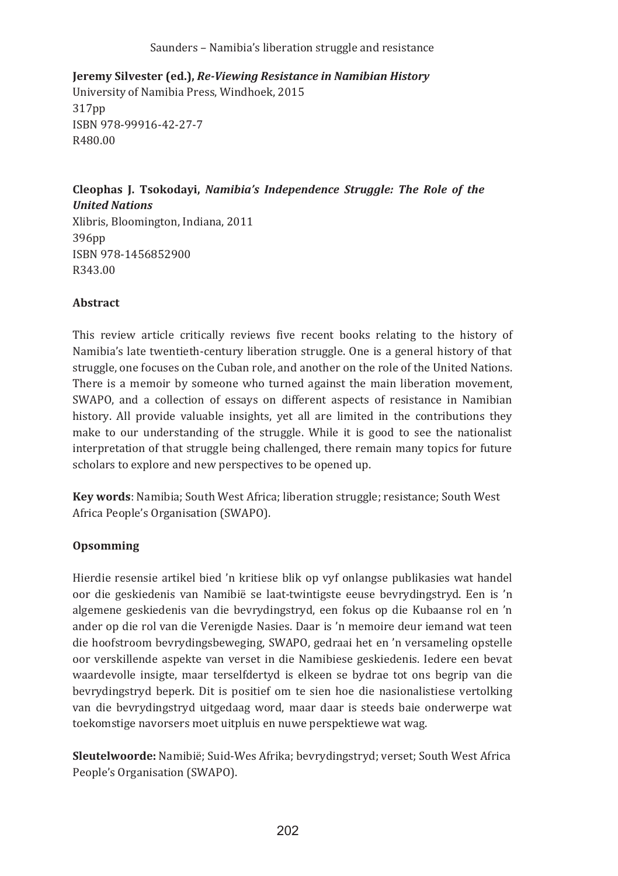Jeremy Silvester (ed.), Re-Viewing Resistance in Namibian History University of Namibia Press, Windhoek, 2015 317pp ISBN 978-99916-42-27-7 R480.00

# Cleophas I. Tsokodavi, Namibia's Independence Struagle: The Role of the **United Nations**

Xlibris, Bloomington, Indiana, 2011 396pp ISBN 978-1456852900 R343.00

## **Abstract**

This review article critically reviews five recent books relating to the history of Namibia's late twentieth-century liberation struggle. One is a general history of that struggle, one focuses on the Cuban role, and another on the role of the United Nations. There is a memoir by someone who turned against the main liberation movement. SWAPO, and a collection of essays on different aspects of resistance in Namibian history. All provide valuable insights, yet all are limited in the contributions they make to our understanding of the struggle. While it is good to see the nationalist interpretation of that struggle being challenged, there remain many topics for future scholars to explore and new perspectives to be opened up.

Key words: Namibia; South West Africa; liberation struggle; resistance; South West Africa People's Organisation (SWAPO).

## Opsomming

Hierdie resensie artikel bied 'n kritiese blik op vvf onlangse publikasies wat handel oor die geskiedenis van Namibië se laat-twintigste eeuse bevrydingstryd. Een is 'n algemene geskiedenis van die bevrydingstryd, een fokus op die Kubaanse rol en 'n ander op die rol van die Verenigde Nasies. Daar is 'n memoire deur iemand wat teen die hoofstroom bevrydingsbeweging, SWAPO, gedraai het en 'n versameling opstelle oor verskillende aspekte van verset in die Namibiese geskiedenis. Iedere een bevat waardevolle insigte, maar terselfdertyd is elkeen se bydrae tot ons begrip van die bevrydingstryd beperk. Dit is positief om te sien hoe die nasionalistiese vertolking van die bevrydingstryd uitgedaag word, maar daar is steeds baie onderwerpe wat toekomstige navorsers moet uitpluis en nuwe perspektiewe wat wag.

Sleutelwoorde: Namibië; Suid-Wes Afrika; bevrydingstryd; verset; South West Africa People's Organisation (SWAPO).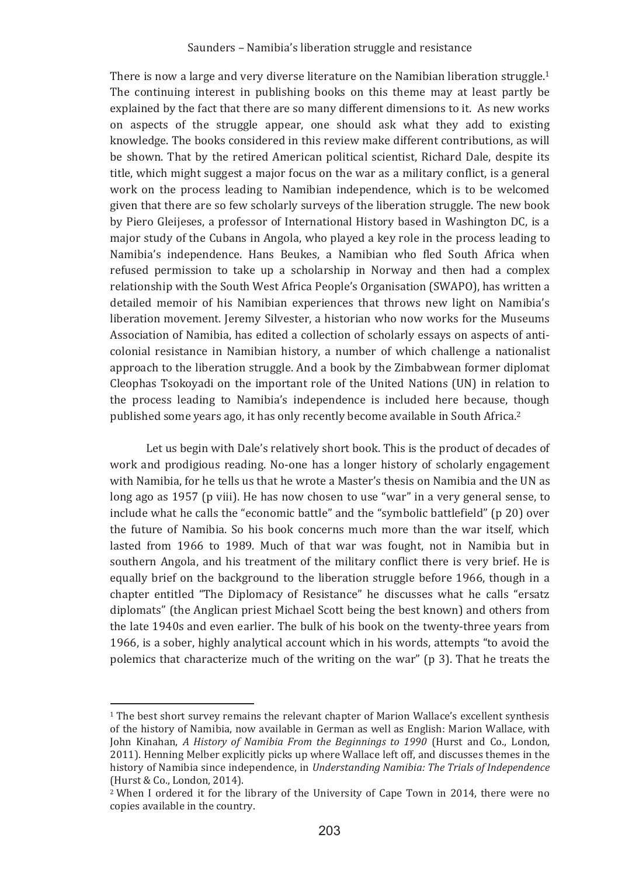There is now a large and very diverse literature on the Namibian liberation struggle.<sup>1</sup> The continuing interest in publishing books on this theme may at least partly be explained by the fact that there are so many different dimensions to it. As new works on aspects of the struggle appear, one should ask what they add to existing knowledge. The books considered in this review make different contributions, as will be shown. That by the retired American political scientist, Richard Dale, despite its title, which might suggest a major focus on the war as a military conflict, is a general work on the process leading to Namibian independence, which is to be welcomed given that there are so few scholarly surveys of the liberation struggle. The new book by Piero Gleijeses, a professor of International History based in Washington DC, is a major study of the Cubans in Angola, who played a key role in the process leading to Namibia's independence. Hans Beukes, a Namibian who fled South Africa when refused permission to take up a scholarship in Norway and then had a complex relationship with the South West Africa People's Organisation (SWAPO), has written a detailed memoir of his Namibian experiences that throws new light on Namibia's liberation movement. Jeremy Silvester, a historian who now works for the Museums Association of Namibia, has edited a collection of scholarly essays on aspects of anticolonial resistance in Namibian history, a number of which challenge a nationalist approach to the liberation struggle. And a book by the Zimbabwean former diplomat Cleophas Tsokovadi on the important role of the United Nations (UN) in relation to the process leading to Namibia's independence is included here because, though published some years ago, it has only recently become available in South Africa.<sup>2</sup>

Let us begin with Dale's relatively short book. This is the product of decades of work and prodigious reading. No-one has a longer history of scholarly engagement with Namibia, for he tells us that he wrote a Master's thesis on Namibia and the UN as long ago as 1957 (p viii). He has now chosen to use "war" in a very general sense, to include what he calls the "economic battle" and the "symbolic battlefield" (p 20) over the future of Namibia. So his book concerns much more than the war itself, which lasted from 1966 to 1989. Much of that war was fought, not in Namibia but in southern Angola, and his treatment of the military conflict there is very brief. He is equally brief on the background to the liberation struggle before 1966, though in a chapter entitled "The Diplomacy of Resistance" he discusses what he calls "ersatz diplomats" (the Anglican priest Michael Scott being the best known) and others from the late 1940s and even earlier. The bulk of his book on the twenty-three years from 1966, is a sober, highly analytical account which in his words, attempts "to avoid the polemics that characterize much of the writing on the war" (p 3). That he treats the

<sup>&</sup>lt;sup>1</sup> The best short survey remains the relevant chapter of Marion Wallace's excellent synthesis of the history of Namibia, now available in German as well as English: Marion Wallace, with John Kinahan. A History of Namibia From the Beainnings to 1990 (Hurst and Co., London. 2011). Henning Melber explicitly picks up where Wallace left off, and discusses themes in the history of Namibia since independence, in Understanding Namibia: The Trials of Independence (Hurst & Co., London, 2014).

 $\frac{2}{3}$  When I ordered it for the library of the University of Cape Town in 2014, there were no copies available in the country.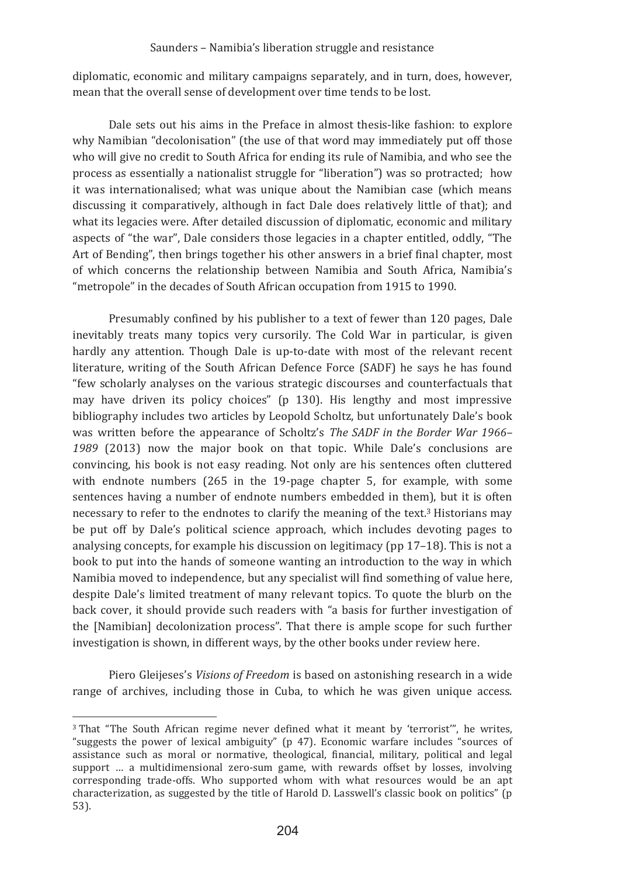diplomatic, economic and military campaigns separately, and in turn, does, however, mean that the overall sense of development over time tends to be lost.

Dale sets out his aims in the Preface in almost thesis-like fashion: to explore why Namibian "decolonisation" (the use of that word may immediately put off those who will give no credit to South Africa for ending its rule of Namibia, and who see the process as essentially a nationalist struggle for "liberation") was so protracted; how it was internationalised: what was unique about the Namibian case (which means discussing it comparatively, although in fact Dale does relatively little of that); and what its legacies were. After detailed discussion of diplomatic, economic and military aspects of "the war". Dale considers those legacies in a chapter entitled, oddly. "The Art of Bending", then brings together his other answers in a brief final chapter, most of which concerns the relationship between Namibia and South Africa, Namibia's "metropole" in the decades of South African occupation from 1915 to 1990.

Presumably confined by his publisher to a text of fewer than 120 pages, Dale inevitably treats many topics very cursorily. The Cold War in particular, is given hardly any attention. Though Dale is up-to-date with most of the relevant recent literature, writing of the South African Defence Force (SADF) he says he has found "few scholarly analyses on the various strategic discourses and counterfactuals that may have driven its policy choices" (p 130). His lengthy and most impressive bibliography includes two articles by Leopold Scholtz, but unfortunately Dale's book was written before the appearance of Scholtz's The SADF in the Border War 1966– 1989 (2013) now the major book on that topic. While Dale's conclusions are convincing, his book is not easy reading. Not only are his sentences often cluttered with endnote numbers (265 in the 19-page chapter 5, for example, with some sentences having a number of endnote numbers embedded in them), but it is often necessary to refer to the endnotes to clarify the meaning of the text.<sup>3</sup> Historians may be put off by Dale's political science approach, which includes devoting pages to analysing concepts, for example his discussion on legitimacy (pp  $17-18$ ). This is not a book to put into the hands of someone wanting an introduction to the way in which Namibia moved to independence, but any specialist will find something of value here. despite Dale's limited treatment of many relevant topics. To quote the blurb on the back cover, it should provide such readers with "a basis for further investigation of the [Namibian] decolonization process". That there is ample scope for such further investigation is shown, in different ways, by the other books under review here.

Piero Gleijeses's *Visions of Freedom* is based on astonishing research in a wide range of archives, including those in Cuba, to which he was given unique access.

<sup>&</sup>lt;sup>3</sup> That "The South African regime never defined what it meant by 'terrorist'", he writes, "suggests the power of lexical ambiguity" (p 47). Economic warfare includes "sources of assistance such as moral or normative, theological, financial, military, political and legal support ... a multidimensional zero-sum game, with rewards offset by losses, involving corresponding trade-offs. Who supported whom with what resources would be an apt characterization, as suggested by the title of Harold D. Lasswell's classic book on politics" (p  $53$ ).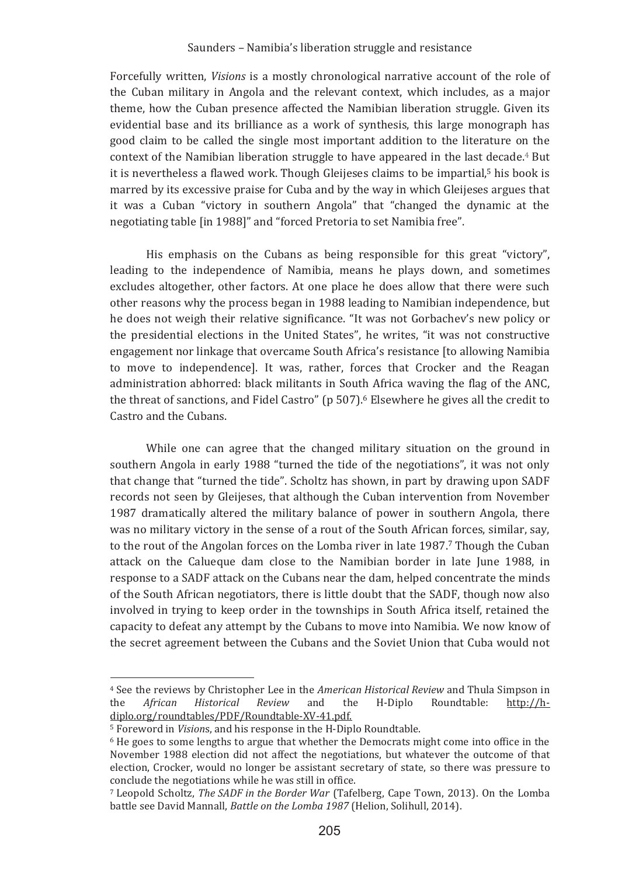Forcefully written, Visions is a mostly chronological narrative account of the role of the Cuban military in Angola and the relevant context, which includes, as a major theme, how the Cuban presence affected the Namibian liberation struggle. Given its evidential base and its brilliance as a work of synthesis, this large monograph has good claim to be called the single most important addition to the literature on the context of the Namibian liberation struggle to have appeared in the last decade.<sup>4</sup> But it is nevertheless a flawed work. Though Gleijeses claims to be impartial,<sup>5</sup> his book is marred by its excessive praise for Cuba and by the way in which Gleijeses argues that it was a Cuban "victory in southern Angola" that "changed the dynamic at the negotiating table [in 1988]" and "forced Pretoria to set Namibia free".

His emphasis on the Cubans as being responsible for this great "victory", leading to the independence of Namibia, means he plays down, and sometimes excludes altogether, other factors. At one place he does allow that there were such other reasons why the process began in 1988 leading to Namibian independence, but he does not weigh their relative significance. "It was not Gorbachev's new policy or the presidential elections in the United States", he writes, "it was not constructive engagement nor linkage that overcame South Africa's resistance [to allowing Namibia to move to independence]. It was, rather, forces that Crocker and the Reagan administration abhorred: black militants in South Africa waving the flag of the ANC. the threat of sanctions, and Fidel Castro" (p 507).<sup>6</sup> Elsewhere he gives all the credit to Castro and the Cubans.

While one can agree that the changed military situation on the ground in southern Angola in early 1988 "turned the tide of the negotiations", it was not only that change that "turned the tide". Scholtz has shown, in part by drawing upon SADF records not seen by Gleijeses, that although the Cuban intervention from November 1987 dramatically altered the military balance of power in southern Angola, there was no military victory in the sense of a rout of the South African forces, similar, say, to the rout of the Angolan forces on the Lomba river in late 1987.7 Though the Cuban attack on the Calueque dam close to the Namibian border in late June 1988, in response to a SADF attack on the Cubans near the dam, helped concentrate the minds of the South African negotiators, there is little doubt that the SADF, though now also involved in trying to keep order in the townships in South Africa itself, retained the capacity to defeat any attempt by the Cubans to move into Namibia. We now know of the secret agreement between the Cubans and the Soviet Union that Cuba would not

<sup>&</sup>lt;sup>4</sup> See the reviews by Christopher Lee in the American Historical Review and Thula Simpson in African Historical Review the H-Diplo Roundtable: http://hthe and diplo.org/roundtables/PDF/Roundtable-XV-41.pdf.

<sup>&</sup>lt;sup>5</sup> Foreword in *Visions*, and his response in the H-Diplo Roundtable.

<sup>&</sup>lt;sup>6</sup> He goes to some lengths to argue that whether the Democrats might come into office in the November 1988 election did not affect the negotiations, but whatever the outcome of that election. Crocker, would no longer be assistant secretary of state, so there was pressure to conclude the negotiations while he was still in office.

<sup>&</sup>lt;sup>7</sup> Leopold Scholtz. The SADF in the Border War (Tafelberg, Cape Town, 2013). On the Lomba battle see David Mannall, Battle on the Lomba 1987 (Helion, Solihull, 2014).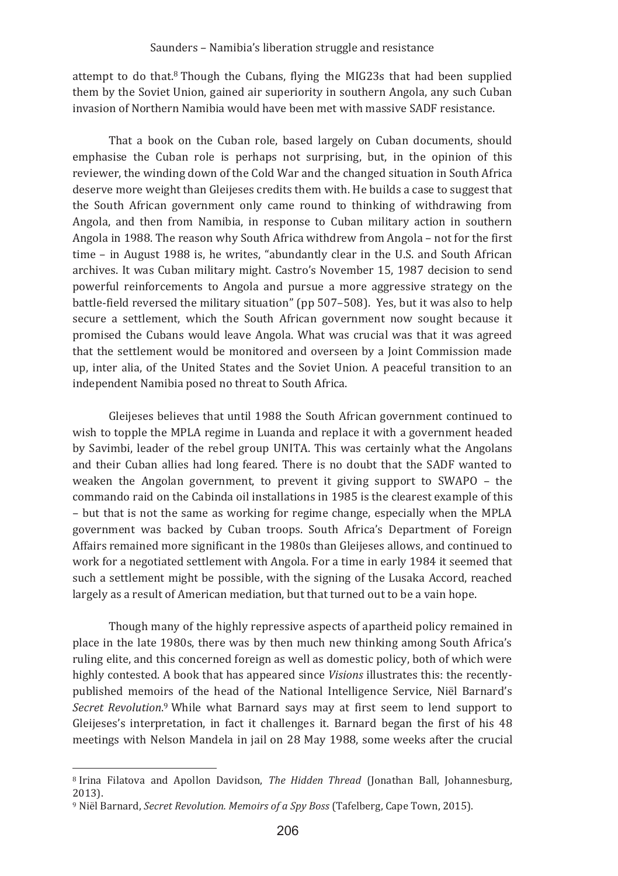attempt to do that.<sup>8</sup> Though the Cubans, flying the MIG23s that had been supplied them by the Soviet Union, gained air superiority in southern Angola, any such Cuban invasion of Northern Namibia would have been met with massive SADE resistance

That a book on the Cuban role, based largely on Cuban documents, should emphasise the Cuban role is perhaps not surprising, but, in the opinion of this reviewer, the winding down of the Cold War and the changed situation in South Africa deserve more weight than Gleijeses credits them with. He builds a case to suggest that the South African government only came round to thinking of withdrawing from Angola, and then from Namibia, in response to Cuban military action in southern Angola in 1988. The reason why South Africa withdrew from Angola - not for the first time – in August 1988 is, he writes, "abundantly clear in the U.S. and South African archives. It was Cuban military might. Castro's November 15, 1987 decision to send powerful reinforcements to Angola and pursue a more aggressive strategy on the battle-field reversed the military situation" (pp 507–508). Yes, but it was also to help secure a settlement, which the South African government now sought because it promised the Cubans would leave Angola. What was crucial was that it was agreed that the settlement would be monitored and overseen by a Joint Commission made up, inter alia, of the United States and the Soviet Union. A peaceful transition to an independent Namibia posed no threat to South Africa.

Gleijeses believes that until 1988 the South African government continued to wish to topple the MPLA regime in Luanda and replace it with a government headed by Savimbi, leader of the rebel group UNITA. This was certainly what the Angolans and their Cuban allies had long feared. There is no doubt that the SADF wanted to weaken the Angolan government, to prevent it giving support to SWAPO – the commando raid on the Cabinda oil installations in 1985 is the clearest example of this – but that is not the same as working for regime change, especially when the MPLA government was backed by Cuban troops. South Africa's Department of Foreign Affairs remained more significant in the 1980s than Gleijeses allows, and continued to work for a negotiated settlement with Angola. For a time in early 1984 it seemed that such a settlement might be possible, with the signing of the Lusaka Accord, reached largely as a result of American mediation, but that turned out to be a vain hope.

Though many of the highly repressive aspects of apartheid policy remained in place in the late 1980s, there was by then much new thinking among South Africa's ruling elite, and this concerned foreign as well as domestic policy, both of which were highly contested. A book that has appeared since *Visions* illustrates this: the recentlypublished memoirs of the head of the National Intelligence Service, Niel Barnard's *Secret Revolution.*9 While what Barnard says may at first seem to lend support to Gleijeses's interpretation, in fact it challenges it. Barnard began the first of his 48 meetings with Nelson Mandela in jail on 28 May 1988, some weeks after the crucial

<u> 1989 - Johann Stein, mars an t-Amerikaansk kommunister (</u>

<sup>&</sup>lt;sup>8</sup> Irina Filatova and Apollon Davidson, *The Hidden Thread* (Jonathan Ball, Johannesburg, 2013).

<sup>&</sup>lt;sup>9</sup> Niël Barnard, *Secret Revolution. Memoirs of a Spy Boss* (Tafelberg, Cape Town, 2015).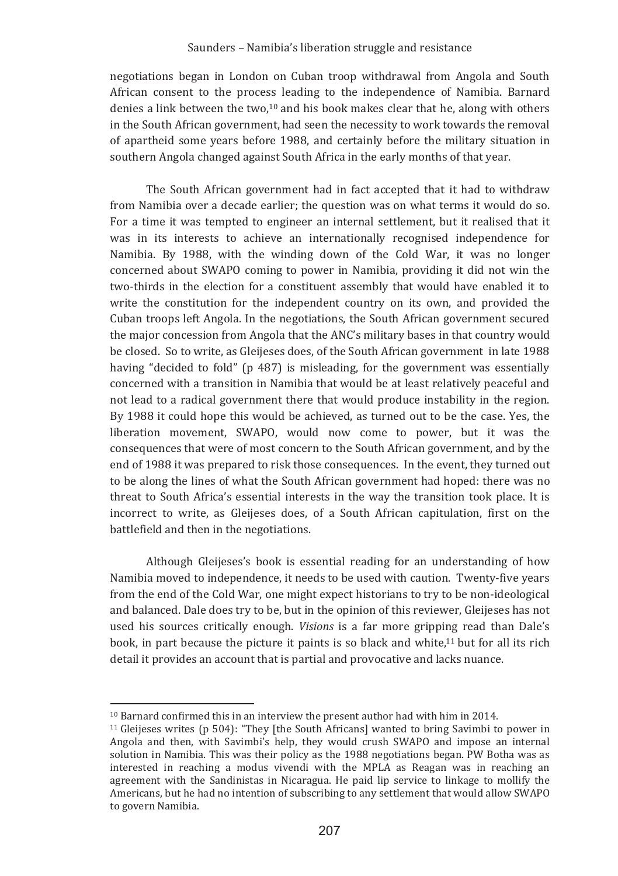negotiations began in London on Cuban troop withdrawal from Angola and South African consent to the process leading to the independence of Namibia. Barnard denies a link between the two, $10$  and his book makes clear that he, along with others in the South African government, had seen the necessity to work towards the removal of apartheid some years before 1988, and certainly before the military situation in southern Angola changed against South Africa in the early months of that year.

The South African government had in fact accepted that it had to withdraw from Namibia over a decade earlier; the question was on what terms it would do so. For a time it was tempted to engineer an internal settlement, but it realised that it was in its interests to achieve an internationally recognised independence for Namibia. By 1988, with the winding down of the Cold War, it was no longer concerned about SWAPO coming to power in Namibia, providing it did not win the two-thirds in the election for a constituent assembly that would have enabled it to write the constitution for the independent country on its own, and provided the Cuban troops left Angola. In the negotiations, the South African government secured the major concession from Angola that the ANC's military bases in that country would be closed. So to write, as Gleijeses does, of the South African government in late 1988 having "decided to fold" (p 487) is misleading, for the government was essentially concerned with a transition in Namibia that would be at least relatively peaceful and not lead to a radical government there that would produce instability in the region. By 1988 it could hope this would be achieved, as turned out to be the case. Yes, the liberation movement, SWAPO, would now come to power, but it was the consequences that were of most concern to the South African government, and by the end of 1988 it was prepared to risk those consequences. In the event, they turned out to be along the lines of what the South African government had hoped; there was no threat to South Africa's essential interests in the way the transition took place. It is incorrect to write, as Gleijeses does, of a South African capitulation, first on the battlefield and then in the negotiations.

Although Gleijeses's book is essential reading for an understanding of how Namibia moved to independence, it needs to be used with caution. Twenty-five vears from the end of the Cold War, one might expect historians to try to be non-ideological and balanced. Dale does try to be, but in the opinion of this reviewer, Gleijeses has not used his sources critically enough. Visions is a far more gripping read than Dale's book, in part because the picture it paints is so black and white,<sup>11</sup> but for all its rich detail it provides an account that is partial and provocative and lacks nuance.

<sup>&</sup>lt;sup>10</sup> Barnard confirmed this in an interview the present author had with him in 2014.

 $11$  Gleijeses writes (p 504): "They [the South Africans] wanted to bring Savimbi to power in Angola and then, with Savimbi's help, they would crush SWAPO and impose an internal solution in Namibia. This was their policy as the 1988 negotiations began. PW Botha was as interested in reaching a modus vivendi with the MPLA as Reagan was in reaching an agreement with the Sandinistas in Nicaragua. He paid lip service to linkage to mollify the Americans, but he had no intention of subscribing to any settlement that would allow SWAPO to govern Namibia.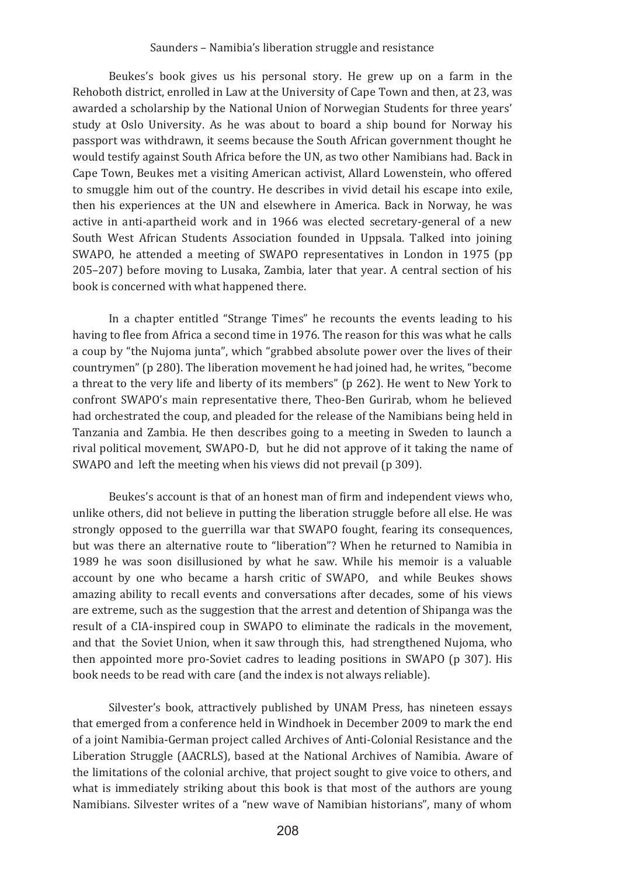Beukes's book gives us his personal story. He grew up on a farm in the Rehoboth district, enrolled in Law at the University of Cape Town and then, at 23, was awarded a scholarship by the National Union of Norwegian Students for three years' study at Oslo University. As he was about to board a ship bound for Norway his passport was withdrawn, it seems because the South African government thought he would testify against South Africa before the UN, as two other Namibians had. Back in Cape Town, Beukes met a visiting American activist, Allard Lowenstein, who offered to smuggle him out of the country. He describes in vivid detail his escape into exile. then his experiences at the UN and elsewhere in America. Back in Norway, he was active in anti-apartheid work and in 1966 was elected secretary-general of a new South West African Students Association founded in Uppsala. Talked into joining SWAPO, he attended a meeting of SWAPO representatives in London in 1975 (pp 205-207) before moving to Lusaka, Zambia, later that year. A central section of his book is concerned with what happened there.

In a chapter entitled "Strange Times" he recounts the events leading to his having to flee from Africa a second time in 1976. The reason for this was what he calls a coup by "the Nujoma junta", which "grabbed absolute power over the lives of their countrymen" (p 280). The liberation movement he had joined had, he writes, "become a threat to the very life and liberty of its members" (p 262). He went to New York to confront SWAPO's main representative there, Theo-Ben Gurirab, whom he believed had orchestrated the coup, and pleaded for the release of the Namibians being held in Tanzania and Zambia. He then describes going to a meeting in Sweden to launch a rival political movement, SWAPO-D, but he did not approve of it taking the name of SWAPO and left the meeting when his views did not prevail (p 309).

Beukes's account is that of an honest man of firm and independent views who, unlike others, did not believe in putting the liberation struggle before all else. He was strongly opposed to the guerrilla war that SWAPO fought, fearing its consequences. but was there an alternative route to "liberation"? When he returned to Namibia in 1989 he was soon disillusioned by what he saw. While his memoir is a valuable account by one who became a harsh critic of SWAPO, and while Beukes shows amazing ability to recall events and conversations after decades, some of his views are extreme, such as the suggestion that the arrest and detention of Shipanga was the result of a CIA-inspired coup in SWAPO to eliminate the radicals in the movement. and that the Soviet Union, when it saw through this, had strengthened Nujoma, who then appointed more pro-Soviet cadres to leading positions in SWAPO (p 307). His book needs to be read with care (and the index is not always reliable).

Silvester's book, attractively published by UNAM Press, has nineteen essays that emerged from a conference held in Windhoek in December 2009 to mark the end of a joint Namibia-German project called Archives of Anti-Colonial Resistance and the Liberation Struggle (AACRLS), based at the National Archives of Namibia. Aware of the limitations of the colonial archive, that project sought to give voice to others, and what is immediately striking about this book is that most of the authors are young Namibians. Silvester writes of a "new wave of Namibian historians", many of whom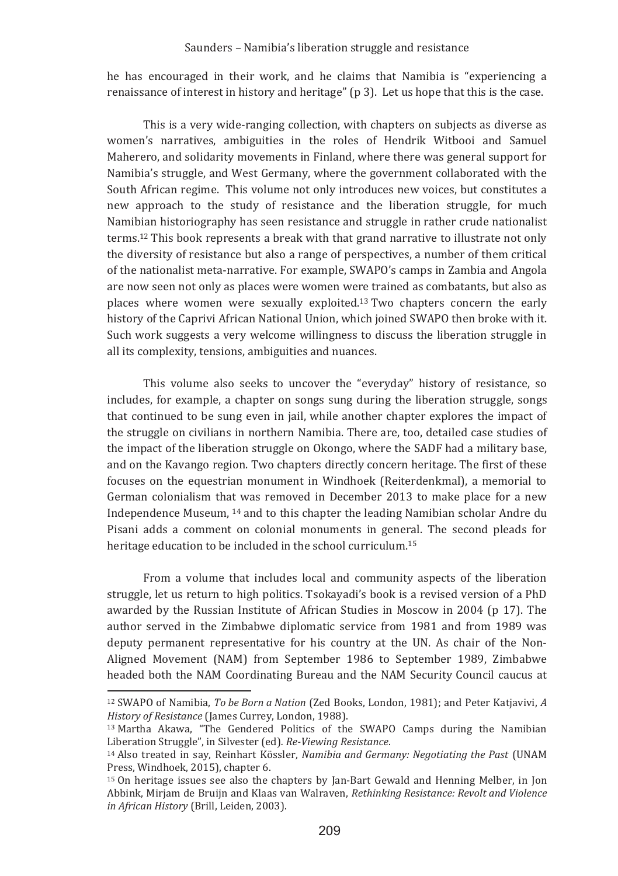he has encouraged in their work, and he claims that Namibia is "experiencing a renaissance of interest in history and heritage" (p 3). Let us hope that this is the case.

This is a very wide-ranging collection, with chapters on subjects as diverse as women's narratives, ambiguities in the roles of Hendrik Witbooi and Samuel Maherero, and solidarity movements in Finland, where there was general support for Namibia's struggle, and West Germany, where the government collaborated with the South African regime. This volume not only introduces new voices, but constitutes a new approach to the study of resistance and the liberation struggle, for much Namibian historiography has seen resistance and struggle in rather crude nationalist terms.<sup>12</sup> This book represents a break with that grand narrative to illustrate not only the diversity of resistance but also a range of perspectives, a number of them critical of the nationalist meta-narrative. For example, SWAPO's camps in Zambia and Angola are now seen not only as places were women were trained as combatants, but also as places where women were sexually exploited.<sup>13</sup> Two chapters concern the early history of the Caprivi African National Union, which joined SWAPO then broke with it. Such work suggests a very welcome willingness to discuss the liberation struggle in all its complexity, tensions, ambiguities and nuances.

This volume also seeks to uncover the "everyday" history of resistance, so includes, for example, a chapter on songs sung during the liberation struggle, songs that continued to be sung even in jail, while another chapter explores the impact of the struggle on civilians in northern Namibia. There are, too, detailed case studies of the impact of the liberation struggle on Okongo, where the SADF had a military base, and on the Kavango region. Two chapters directly concern heritage. The first of these focuses on the equestrian monument in Windhoek (Reiterdenkmal), a memorial to German colonialism that was removed in December 2013 to make place for a new Independence Museum, <sup>14</sup> and to this chapter the leading Namibian scholar Andre du Pisani adds a comment on colonial monuments in general. The second pleads for heritage education to be included in the school curriculum.<sup>15</sup>

From a volume that includes local and community aspects of the liberation struggle, let us return to high politics. Tsokayadi's book is a revised version of a PhD awarded by the Russian Institute of African Studies in Moscow in 2004 (p 17). The author served in the Zimbabwe diplomatic service from 1981 and from 1989 was deputy permanent representative for his country at the UN. As chair of the Non-Aligned Movement (NAM) from September 1986 to September 1989, Zimbabwe headed both the NAM Coordinating Bureau and the NAM Security Council caucus at

<sup>&</sup>lt;sup>12</sup> SWAPO of Namibia, *To be Born a Nation* (Zed Books, London, 1981); and Peter Katjavivi, *A* History of Resistance (James Currey, London, 1988).

<sup>&</sup>lt;sup>13</sup> Martha Akawa, "The Gendered Politics of the SWAPO Camps during the Namibian Liberation Struggle", in Silvester (ed). Re-Viewing Resistance.

<sup>&</sup>lt;sup>14</sup> Also treated in say. Reinhart Kössler, Namibia and Germany: Negotiating the Past (UNAM Press, Windhoek, 2015), chapter 6.

<sup>&</sup>lt;sup>15</sup> On heritage issues see also the chapters by Jan-Bart Gewald and Henning Melber, in Jon Abbink. Miriam de Bruijn and Klaas van Walraven. Rethinking Resistance: Revolt and Violence in African History (Brill, Leiden, 2003).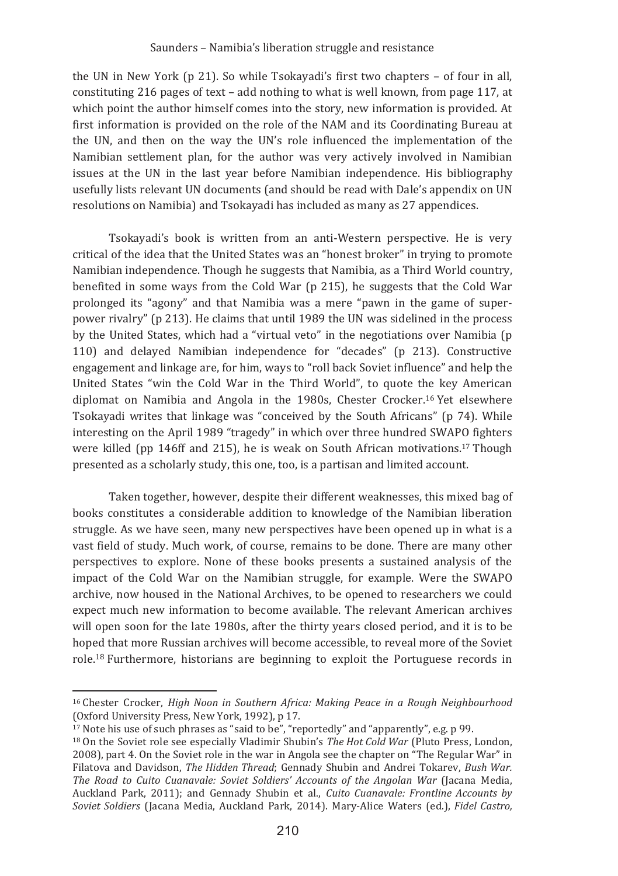the UN in New York (p 21). So while Tsokayadi's first two chapters - of four in all, constituting 216 pages of text - add nothing to what is well known, from page 117, at which point the author himself comes into the story, new information is provided. At first information is provided on the role of the NAM and its Coordinating Bureau at the UN, and then on the way the UN's role influenced the implementation of the Namibian settlement plan, for the author was very actively involved in Namibian issues at the UN in the last year before Namibian independence. His bibliography usefully lists relevant UN documents (and should be read with Dale's appendix on UN resolutions on Namibia) and Tsokayadi has included as many as 27 appendices.

Tsokavadi's book is written from an anti-Western perspective. He is very critical of the idea that the United States was an "honest broker" in trying to promote Namibian independence. Though he suggests that Namibia, as a Third World country, benefited in some ways from the Cold War (p 215), he suggests that the Cold War prolonged its "agony" and that Namibia was a mere "pawn in the game of superpower rivalry" (p 213). He claims that until 1989 the UN was sidelined in the process by the United States, which had a "virtual veto" in the negotiations over Namibia (p 110) and delayed Namibian independence for "decades" (p 213). Constructive engagement and linkage are, for him, ways to "roll back Soviet influence" and help the United States "win the Cold War in the Third World", to quote the key American diplomat on Namibia and Angola in the 1980s, Chester Crocker.<sup>16</sup> Yet elsewhere Tsokayadi writes that linkage was "conceived by the South Africans" (p 74). While interesting on the April 1989 "tragedy" in which over three hundred SWAPO fighters were killed (pp 146ff and 215), he is weak on South African motivations.<sup>17</sup> Though presented as a scholarly study, this one, too, is a partisan and limited account.

Taken together, however, despite their different weaknesses, this mixed bag of books constitutes a considerable addition to knowledge of the Namibian liberation struggle. As we have seen, many new perspectives have been opened up in what is a vast field of study. Much work, of course, remains to be done. There are many other perspectives to explore. None of these books presents a sustained analysis of the impact of the Cold War on the Namibian struggle, for example, Were the SWAPO archive, now housed in the National Archives, to be opened to researchers we could expect much new information to become available. The relevant American archives will open soon for the late 1980s, after the thirty years closed period, and it is to be hoped that more Russian archives will become accessible, to reveal more of the Soviet role.<sup>18</sup> Furthermore, historians are beginning to exploit the Portuguese records in

<sup>&</sup>lt;sup>16</sup> Chester Crocker, High Noon in Southern Africa: Making Peace in a Rough Neighbourhood (Oxford University Press, New York, 1992), p 17.

 $17$  Note his use of such phrases as "said to be", "reportedly" and "apparently", e.g. p 99.

<sup>&</sup>lt;sup>18</sup> On the Soviet role see especially Vladimir Shubin's *The Hot Cold War* (Pluto Press, London, 2008), part 4. On the Soviet role in the war in Angola see the chapter on "The Regular War" in Filatova and Davidson, The Hidden Thread; Gennady Shubin and Andrei Tokarev, Bush War. The Road to Cuito Cuanavale: Soviet Soldiers' Accounts of the Angolan War (Jacana Media, Auckland Park, 2011); and Gennady Shubin et al., Cuito Cuanavale: Frontline Accounts by Soviet Soldiers (Jacana Media, Auckland Park, 2014). Mary-Alice Waters (ed.), Fidel Castro,